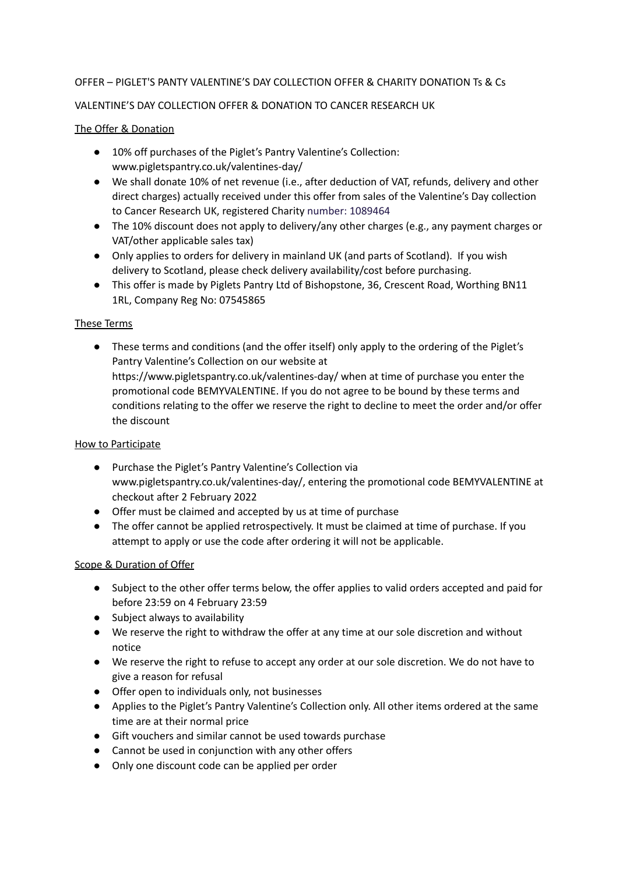# OFFER – PIGLET'S PANTY VALENTINE'S DAY COLLECTION OFFER & CHARITY DONATION Ts & Cs

## VALENTINE'S DAY COLLECTION OFFER & DONATION TO CANCER RESEARCH UK

### The Offer & Donation

- 10% off purchases of the Piglet's Pantry Valentine's Collection: www.pigletspantry.co.uk/valentines-day/
- We shall donate 10% of net revenue (i.e., after deduction of VAT, refunds, delivery and other direct charges) actually received under this offer from sales of the Valentine's Day collection to Cancer Research UK, registered Charity number: 1089464
- The 10% discount does not apply to delivery/any other charges (e.g., any payment charges or VAT/other applicable sales tax)
- Only applies to orders for delivery in mainland UK (and parts of Scotland). If you wish delivery to Scotland, please check delivery availability/cost before purchasing.
- This offer is made by Piglets Pantry Ltd of Bishopstone, 36, Crescent Road, Worthing BN11 1RL, Company Reg No: 07545865

# These Terms

● These terms and conditions (and the offer itself) only apply to the ordering of the Piglet's Pantry Valentine's Collection on our website at https://www.pigletspantry.co.uk/valentines-day/ when at time of purchase you enter the promotional code BEMYVALENTINE. If you do not agree to be bound by these terms and conditions relating to the offer we reserve the right to decline to meet the order and/or offer the discount

## How to Participate

- Purchase the Piglet's Pantry Valentine's Collection via www.pigletspantry.co.uk/valentines-day/, entering the promotional code BEMYVALENTINE at checkout after 2 February 2022
- Offer must be claimed and accepted by us at time of purchase
- The offer cannot be applied retrospectively. It must be claimed at time of purchase. If you attempt to apply or use the code after ordering it will not be applicable.

### Scope & Duration of Offer

- Subject to the other offer terms below, the offer applies to valid orders accepted and paid for before 23:59 on 4 February 23:59
- Subject always to availability
- We reserve the right to withdraw the offer at any time at our sole discretion and without notice
- We reserve the right to refuse to accept any order at our sole discretion. We do not have to give a reason for refusal
- Offer open to individuals only, not businesses
- Applies to the Piglet's Pantry Valentine's Collection only. All other items ordered at the same time are at their normal price
- Gift vouchers and similar cannot be used towards purchase
- Cannot be used in conjunction with any other offers
- Only one discount code can be applied per order